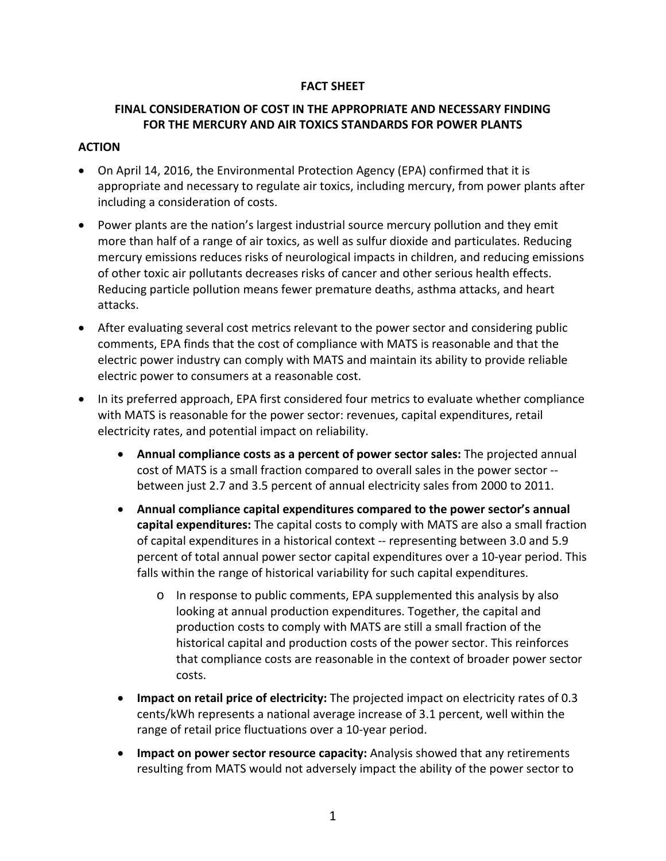### **FACT SHEET**

## **FINAL CONSIDERATION OF COST IN THE APPROPRIATE AND NECESSARY FINDING FOR THE MERCURY AND AIR TOXICS STANDARDS FOR POWER PLANTS**

### **ACTION**

- On April 14, 2016, the Environmental Protection Agency (EPA) confirmed that it is appropriate and necessary to regulate air toxics, including mercury, from power plants after including a consideration of costs.
- Power plants are the nation's largest industrial source mercury pollution and they emit more than half of a range of air toxics, as well as sulfur dioxide and particulates. Reducing mercury emissions reduces risks of neurological impacts in children, and reducing emissions of other toxic air pollutants decreases risks of cancer and other serious health effects. Reducing particle pollution means fewer premature deaths, asthma attacks, and heart attacks.
- After evaluating several cost metrics relevant to the power sector and considering public comments, EPA finds that the cost of compliance with MATS is reasonable and that the electric power industry can comply with MATS and maintain its ability to provide reliable electric power to consumers at a reasonable cost.
- In its preferred approach, EPA first considered four metrics to evaluate whether compliance with MATS is reasonable for the power sector: revenues, capital expenditures, retail electricity rates, and potential impact on reliability.
	- **Annual compliance costs as a percent of power sector sales:** The projected annual cost of MATS is a small fraction compared to overall sales in the power sector ‐‐ between just 2.7 and 3.5 percent of annual electricity sales from 2000 to 2011.
	- **Annual compliance capital expenditures compared to the power sector's annual capital expenditures:** The capital costs to comply with MATS are also a small fraction of capital expenditures in a historical context ‐‐ representing between 3.0 and 5.9 percent of total annual power sector capital expenditures over a 10‐year period. This falls within the range of historical variability for such capital expenditures.
		- o In response to public comments, EPA supplemented this analysis by also looking at annual production expenditures. Together, the capital and production costs to comply with MATS are still a small fraction of the historical capital and production costs of the power sector. This reinforces that compliance costs are reasonable in the context of broader power sector costs.
	- **Impact on retail price of electricity:** The projected impact on electricity rates of 0.3 cents/kWh represents a national average increase of 3.1 percent, well within the range of retail price fluctuations over a 10‐year period.
	- **Impact on power sector resource capacity:** Analysis showed that any retirements resulting from MATS would not adversely impact the ability of the power sector to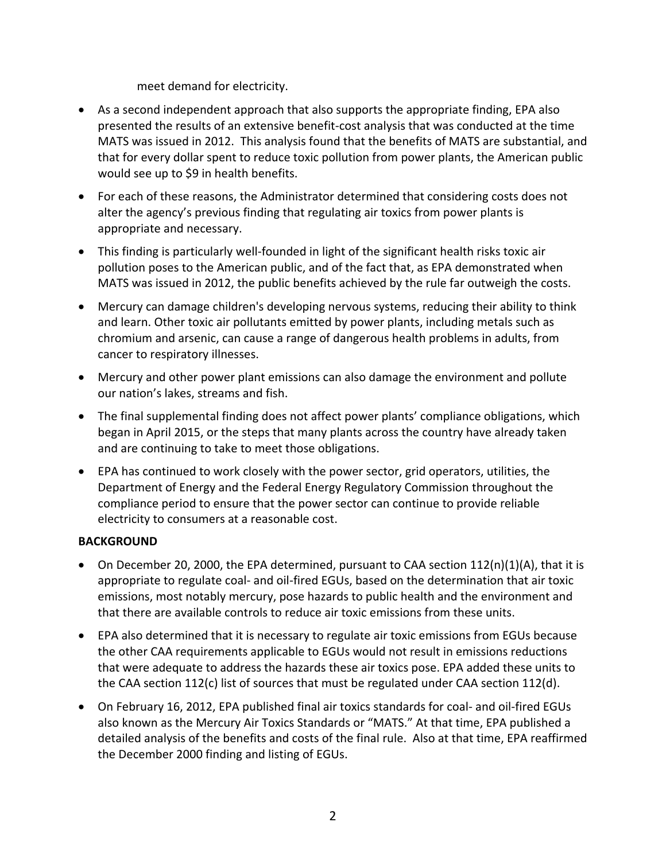meet demand for electricity.

- As a second independent approach that also supports the appropriate finding, EPA also presented the results of an extensive benefit‐cost analysis that was conducted at the time MATS was issued in 2012. This analysis found that the benefits of MATS are substantial, and that for every dollar spent to reduce toxic pollution from power plants, the American public would see up to \$9 in health benefits.
- For each of these reasons, the Administrator determined that considering costs does not alter the agency's previous finding that regulating air toxics from power plants is appropriate and necessary.
- This finding is particularly well-founded in light of the significant health risks toxic air pollution poses to the American public, and of the fact that, as EPA demonstrated when MATS was issued in 2012, the public benefits achieved by the rule far outweigh the costs.
- Mercury can damage children's developing nervous systems, reducing their ability to think and learn. Other toxic air pollutants emitted by power plants, including metals such as chromium and arsenic, can cause a range of dangerous health problems in adults, from cancer to respiratory illnesses.
- Mercury and other power plant emissions can also damage the environment and pollute our nation's lakes, streams and fish.
- The final supplemental finding does not affect power plants' compliance obligations, which began in April 2015, or the steps that many plants across the country have already taken and are continuing to take to meet those obligations.
- EPA has continued to work closely with the power sector, grid operators, utilities, the Department of Energy and the Federal Energy Regulatory Commission throughout the compliance period to ensure that the power sector can continue to provide reliable electricity to consumers at a reasonable cost.

# **BACKGROUND**

- On December 20, 2000, the EPA determined, pursuant to CAA section  $112(n)(1)(A)$ , that it is appropriate to regulate coal‐ and oil‐fired EGUs, based on the determination that air toxic emissions, most notably mercury, pose hazards to public health and the environment and that there are available controls to reduce air toxic emissions from these units.
- EPA also determined that it is necessary to regulate air toxic emissions from EGUs because the other CAA requirements applicable to EGUs would not result in emissions reductions that were adequate to address the hazards these air toxics pose. EPA added these units to the CAA section 112(c) list of sources that must be regulated under CAA section 112(d).
- On February 16, 2012, EPA published final air toxics standards for coal‐ and oil‐fired EGUs also known as the Mercury Air Toxics Standards or "MATS." At that time, EPA published a detailed analysis of the benefits and costs of the final rule. Also at that time, EPA reaffirmed the December 2000 finding and listing of EGUs.